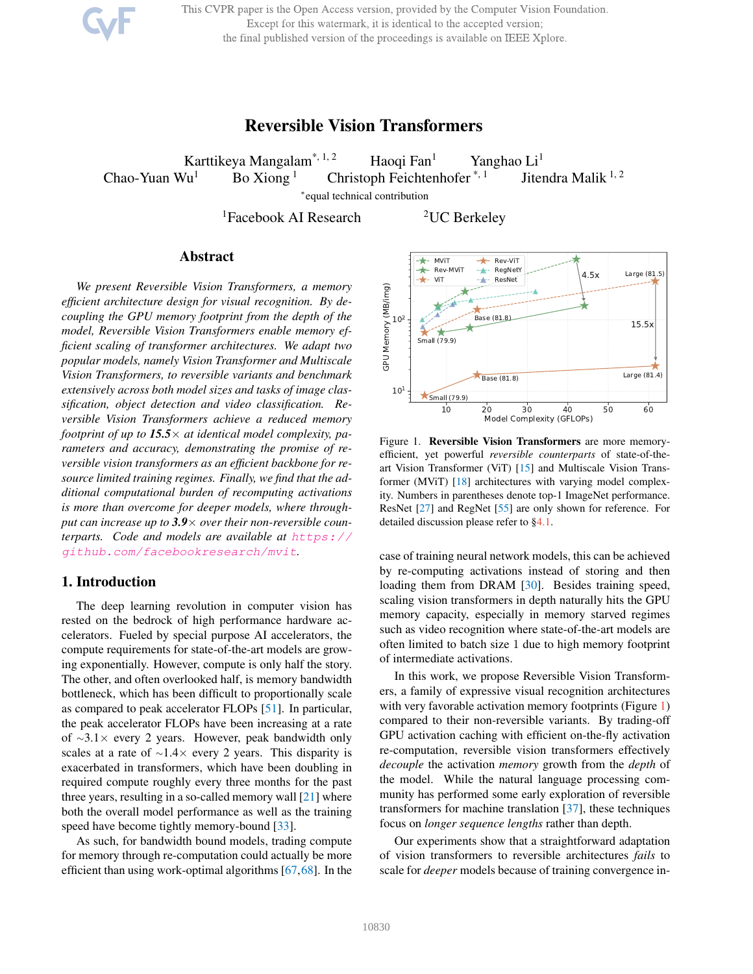This CVPR paper is the Open Access version, provided by the Computer Vision Foundation. Except for this watermark, it is identical to the accepted version;

the final published version of the proceedings is available on IEEE Xplore.

# Reversible Vision Transformers

<span id="page-0-1"></span>Karttikeya Mangalam\*, 1, 2 Haoqi Fan<sup>1</sup> Yanghao Li<sup>1</sup> Chao-Yuan Wu<sup>1</sup> Bo Xiong<sup>1</sup> Christoph Feichtenhofer<sup>\*, 1</sup> Jitendra Malik<sup>1, 2</sup>

∗ equal technical contribution

 ${}^{1}$ Facebook AI Research  ${}^{2}$ UC Berkeley

# Abstract

*We present Reversible Vision Transformers, a memory efficient architecture design for visual recognition. By decoupling the GPU memory footprint from the depth of the model, Reversible Vision Transformers enable memory efficient scaling of transformer architectures. We adapt two popular models, namely Vision Transformer and Multiscale Vision Transformers, to reversible variants and benchmark extensively across both model sizes and tasks of image classification, object detection and video classification. Reversible Vision Transformers achieve a reduced memory footprint of up to 15.5*× *at identical model complexity, parameters and accuracy, demonstrating the promise of reversible vision transformers as an efficient backbone for resource limited training regimes. Finally, we find that the additional computational burden of recomputing activations is more than overcome for deeper models, where throughput can increase up to 3.9*× *over their non-reversible counterparts. Code and models are available at* [https://](https://github.com/facebookresearch/mvit) [github.com/facebookresearch/mvit](https://github.com/facebookresearch/mvit)*.*

# 1. Introduction

The deep learning revolution in computer vision has rested on the bedrock of high performance hardware accelerators. Fueled by special purpose AI accelerators, the compute requirements for state-of-the-art models are growing exponentially. However, compute is only half the story. The other, and often overlooked half, is memory bandwidth bottleneck, which has been difficult to proportionally scale as compared to peak accelerator FLOPs [\[51\]](#page-9-0). In particular, the peak accelerator FLOPs have been increasing at a rate of <sup>∼</sup>3.1× every 2 years. However, peak bandwidth only scales at a rate of ∼1.4× every 2 years. This disparity is exacerbated in transformers, which have been doubling in required compute roughly every three months for the past three years, resulting in a so-called memory wall  $[21]$  where both the overall model performance as well as the training speed have become tightly memory-bound [\[33\]](#page-9-1).

As such, for bandwidth bound models, trading compute for memory through re-computation could actually be more efficient than using work-optimal algorithms [\[67,](#page-10-0)[68\]](#page-10-1). In the

<span id="page-0-0"></span>

Figure 1. Reversible Vision Transformers are more memoryefficient, yet powerful *reversible counterparts* of state-of-theart Vision Transformer (ViT) [\[15\]](#page-8-1) and Multiscale Vision Transformer (MViT) [\[18\]](#page-8-2) architectures with varying model complexity. Numbers in parentheses denote top-1 ImageNet performance. ResNet [\[27\]](#page-8-3) and RegNet [\[55\]](#page-9-2) are only shown for reference. For detailed discussion please refer to [§4.1.](#page-4-0)

case of training neural network models, this can be achieved by re-computing activations instead of storing and then loading them from DRAM [\[30\]](#page-9-3). Besides training speed, scaling vision transformers in depth naturally hits the GPU memory capacity, especially in memory starved regimes such as video recognition where state-of-the-art models are often limited to batch size 1 due to high memory footprint of intermediate activations.

In this work, we propose Reversible Vision Transformers, a family of expressive visual recognition architectures with very favorable activation memory footprints (Figure [1\)](#page-0-0) compared to their non-reversible variants. By trading-off GPU activation caching with efficient on-the-fly activation re-computation, reversible vision transformers effectively *decouple* the activation *memory* growth from the *depth* of the model. While the natural language processing community has performed some early exploration of reversible transformers for machine translation [\[37\]](#page-9-4), these techniques focus on *longer sequence lengths* rather than depth.

Our experiments show that a straightforward adaptation of vision transformers to reversible architectures *fails* to scale for *deeper* models because of training convergence in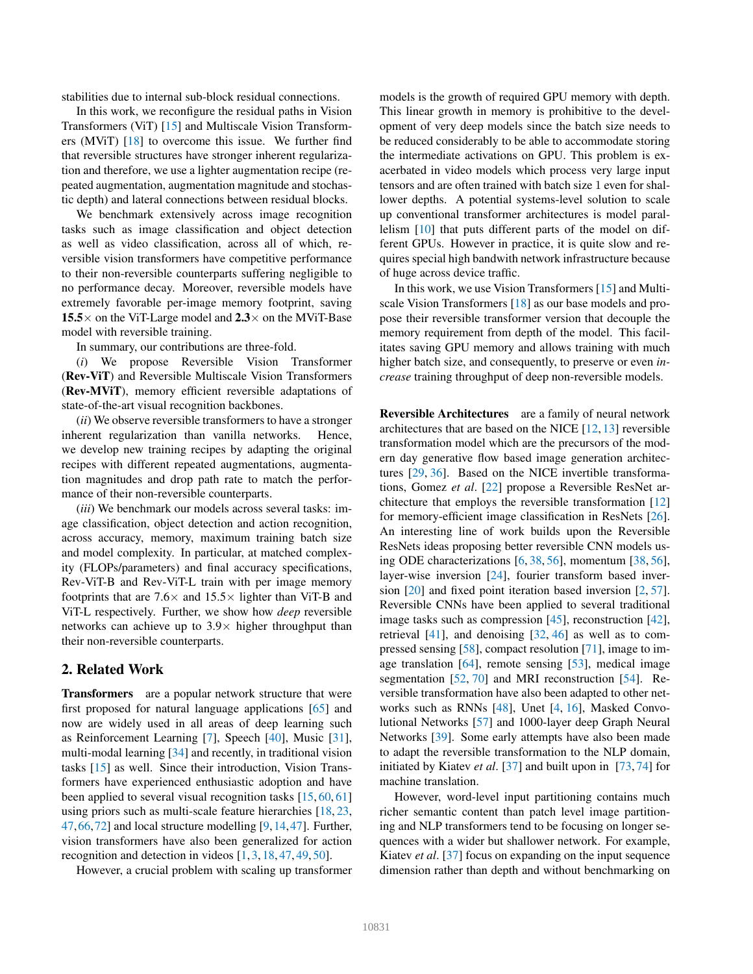<span id="page-1-0"></span>stabilities due to internal sub-block residual connections.

In this work, we reconfigure the residual paths in Vision Transformers (ViT) [\[15\]](#page-8-1) and Multiscale Vision Transformers (MViT) [\[18\]](#page-8-2) to overcome this issue. We further find that reversible structures have stronger inherent regularization and therefore, we use a lighter augmentation recipe (repeated augmentation, augmentation magnitude and stochastic depth) and lateral connections between residual blocks.

We benchmark extensively across image recognition tasks such as image classification and object detection as well as video classification, across all of which, reversible vision transformers have competitive performance to their non-reversible counterparts suffering negligible to no performance decay. Moreover, reversible models have extremely favorable per-image memory footprint, saving 15.5 $\times$  on the ViT-Large model and 2.3 $\times$  on the MViT-Base model with reversible training.

In summary, our contributions are three-fold.

(*i*) We propose Reversible Vision Transformer (Rev-ViT) and Reversible Multiscale Vision Transformers (Rev-MViT), memory efficient reversible adaptations of state-of-the-art visual recognition backbones.

(*ii*) We observe reversible transformers to have a stronger inherent regularization than vanilla networks. Hence, we develop new training recipes by adapting the original recipes with different repeated augmentations, augmentation magnitudes and drop path rate to match the performance of their non-reversible counterparts.

(*iii*) We benchmark our models across several tasks: image classification, object detection and action recognition, across accuracy, memory, maximum training batch size and model complexity. In particular, at matched complexity (FLOPs/parameters) and final accuracy specifications, Rev-ViT-B and Rev-ViT-L train with per image memory footprints that are  $7.6 \times$  and  $15.5 \times$  lighter than ViT-B and ViT-L respectively. Further, we show how *deep* reversible networks can achieve up to  $3.9\times$  higher throughput than their non-reversible counterparts.

# 2. Related Work

Transformers are a popular network structure that were first proposed for natural language applications [\[65\]](#page-10-2) and now are widely used in all areas of deep learning such as Reinforcement Learning [\[7\]](#page-8-4), Speech [\[40\]](#page-9-5), Music [\[31\]](#page-9-6), multi-modal learning [\[34\]](#page-9-7) and recently, in traditional vision tasks [\[15\]](#page-8-1) as well. Since their introduction, Vision Transformers have experienced enthusiastic adoption and have been applied to several visual recognition tasks [\[15,](#page-8-1) [60,](#page-10-3) [61\]](#page-10-4) using priors such as multi-scale feature hierarchies [\[18,](#page-8-2) [23,](#page-8-5) [47,](#page-9-8)[66,](#page-10-5)[72\]](#page-10-6) and local structure modelling [\[9,](#page-8-6)[14,](#page-8-7)[47\]](#page-9-8). Further, vision transformers have also been generalized for action recognition and detection in videos [\[1,](#page-8-8) [3,](#page-8-9) [18,](#page-8-2) [47,](#page-9-8) [49,](#page-9-9) [50\]](#page-9-10).

However, a crucial problem with scaling up transformer

models is the growth of required GPU memory with depth. This linear growth in memory is prohibitive to the development of very deep models since the batch size needs to be reduced considerably to be able to accommodate storing the intermediate activations on GPU. This problem is exacerbated in video models which process very large input tensors and are often trained with batch size 1 even for shallower depths. A potential systems-level solution to scale up conventional transformer architectures is model parallelism [\[10\]](#page-8-10) that puts different parts of the model on different GPUs. However in practice, it is quite slow and requires special high bandwith network infrastructure because of huge across device traffic.

In this work, we use Vision Transformers [\[15\]](#page-8-1) and Multiscale Vision Transformers [\[18\]](#page-8-2) as our base models and propose their reversible transformer version that decouple the memory requirement from depth of the model. This facilitates saving GPU memory and allows training with much higher batch size, and consequently, to preserve or even *increase* training throughput of deep non-reversible models.

Reversible Architectures are a family of neural network architectures that are based on the NICE [\[12,](#page-8-11) [13\]](#page-8-12) reversible transformation model which are the precursors of the modern day generative flow based image generation architectures [\[29,](#page-8-13) [36\]](#page-9-11). Based on the NICE invertible transformations, Gomez *et al*. [\[22\]](#page-8-14) propose a Reversible ResNet architecture that employs the reversible transformation [\[12\]](#page-8-11) for memory-efficient image classification in ResNets [\[26\]](#page-8-15). An interesting line of work builds upon the Reversible ResNets ideas proposing better reversible CNN models using ODE characterizations [\[6,](#page-8-16) [38,](#page-9-12) [56\]](#page-9-13), momentum [\[38,](#page-9-12) [56\]](#page-9-13), layer-wise inversion [\[24\]](#page-8-17), fourier transform based inversion [\[20\]](#page-8-18) and fixed point iteration based inversion [\[2,](#page-8-19) [57\]](#page-9-14). Reversible CNNs have been applied to several traditional image tasks such as compression [\[45\]](#page-9-15), reconstruction [\[42\]](#page-9-16), retrieval [\[41\]](#page-9-17), and denoising [\[32,](#page-9-18) [46\]](#page-9-19) as well as to compressed sensing [\[58\]](#page-9-20), compact resolution [\[71\]](#page-10-7), image to image translation [\[64\]](#page-10-8), remote sensing [\[53\]](#page-9-21), medical image segmentation [\[52,](#page-9-22) [70\]](#page-10-9) and MRI reconstruction [\[54\]](#page-9-23). Reversible transformation have also been adapted to other networks such as RNNs [\[48\]](#page-9-24), Unet [\[4,](#page-8-20) [16\]](#page-8-21), Masked Convolutional Networks [\[57\]](#page-9-14) and 1000-layer deep Graph Neural Networks [\[39\]](#page-9-25). Some early attempts have also been made to adapt the reversible transformation to the NLP domain, initiated by Kiatev *et al*. [\[37\]](#page-9-4) and built upon in [\[73,](#page-10-10) [74\]](#page-10-11) for machine translation.

However, word-level input partitioning contains much richer semantic content than patch level image partitioning and NLP transformers tend to be focusing on longer sequences with a wider but shallower network. For example, Kiatev *et al*. [\[37\]](#page-9-4) focus on expanding on the input sequence dimension rather than depth and without benchmarking on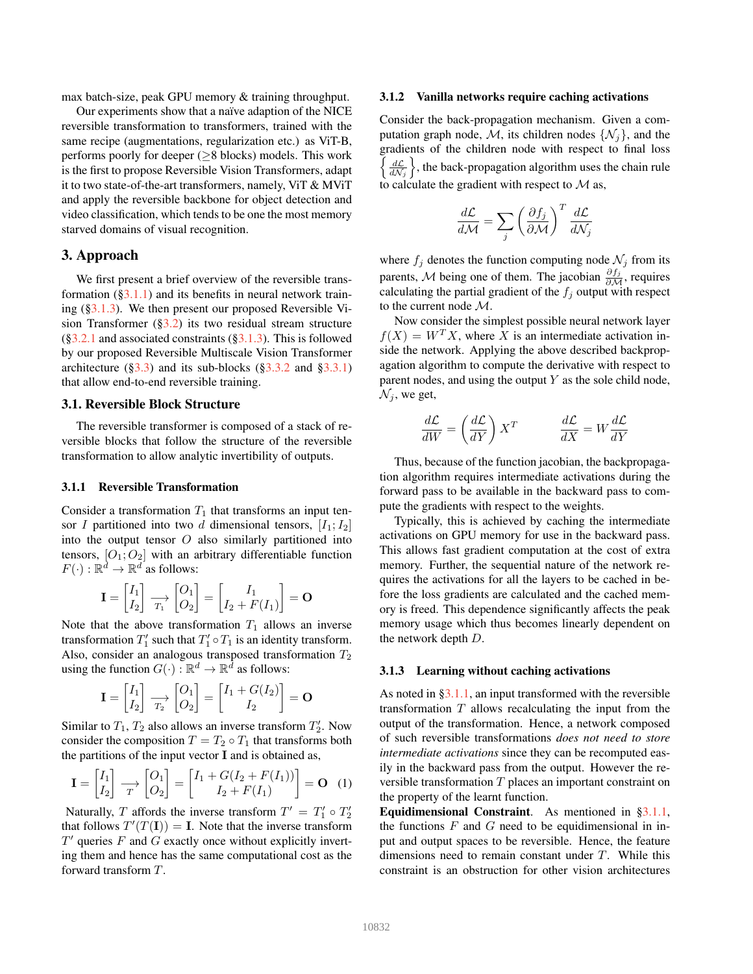max batch-size, peak GPU memory & training throughput.

Our experiments show that a naïve adaption of the NICE reversible transformation to transformers, trained with the same recipe (augmentations, regularization etc.) as ViT-B, performs poorly for deeper (≥8 blocks) models. This work is the first to propose Reversible Vision Transformers, adapt it to two state-of-the-art transformers, namely, ViT & MViT and apply the reversible backbone for object detection and video classification, which tends to be one the most memory starved domains of visual recognition.

# 3. Approach

We first present a brief overview of the reversible transformation  $(\S3.1.1)$  and its benefits in neural network training ([§3.1.3\)](#page-2-1). We then present our proposed Reversible Vision Transformer  $(\S3.2)$  its two residual stream structure  $(\S3.2.1$  and associated constraints  $(\S3.1.3)$ . This is followed by our proposed Reversible Multiscale Vision Transformer architecture ( $\S 3.3$ ) and its sub-blocks ( $\S 3.3.2$  and  $\S 3.3.1$ ) that allow end-to-end reversible training.

#### 3.1. Reversible Block Structure

The reversible transformer is composed of a stack of reversible blocks that follow the structure of the reversible transformation to allow analytic invertibility of outputs.

#### <span id="page-2-0"></span>3.1.1 Reversible Transformation

Consider a transformation  $T_1$  that transforms an input tensor I partitioned into two d dimensional tensors,  $[I_1; I_2]$ into the output tensor  $O$  also similarly partitioned into tensors,  $[O_1; O_2]$  with an arbitrary differentiable function  $F(\cdot): \mathbb{R}^{\tilde{d}} \to \mathbb{R}^d$  as follows:

$$
\mathbf{I} = \begin{bmatrix} I_1 \\ I_2 \end{bmatrix} \xrightarrow[T_1]{P_1} \begin{bmatrix} O_1 \\ O_2 \end{bmatrix} = \begin{bmatrix} I_1 \\ I_2 + F(I_1) \end{bmatrix} = \mathbf{O}
$$

Note that the above transformation  $T_1$  allows an inverse transformation  $T'_1$  such that  $T'_1 \circ T_1$  is an identity transform. Also, consider an analogous transposed transformation  $T_2$ using the function  $G(\cdot) : \mathbb{R}^d \to \mathbb{R}^{\overline{d}}$  as follows:

$$
\mathbf{I} = \begin{bmatrix} I_1 \\ I_2 \end{bmatrix} \xrightarrow[T_2]{T_2} \begin{bmatrix} O_1 \\ O_2 \end{bmatrix} = \begin{bmatrix} I_1 + G(I_2) \\ I_2 \end{bmatrix} = \mathbf{O}
$$

Similar to  $T_1$ ,  $T_2$  also allows an inverse transform  $T_2'$ . Now consider the composition  $T = T_2 \circ T_1$  that transforms both the partitions of the input vector I and is obtained as,

$$
\mathbf{I} = \begin{bmatrix} I_1 \\ I_2 \end{bmatrix} \xrightarrow[T]{} \begin{bmatrix} O_1 \\ O_2 \end{bmatrix} = \begin{bmatrix} I_1 + G(I_2 + F(I_1)) \\ I_2 + F(I_1) \end{bmatrix} = \mathbf{O} \tag{1}
$$

Naturally, T affords the inverse transform  $T' = T'_1 \circ T'_2$ that follows  $T'(T(\mathbf{I})) = \mathbf{I}$ . Note that the inverse transform  $T'$  queries  $F$  and  $G$  exactly once without explicitly inverting them and hence has the same computational cost as the forward transform T.

#### <span id="page-2-3"></span>3.1.2 Vanilla networks require caching activations

Consider the back-propagation mechanism. Given a computation graph node, M, its children nodes  $\{N_i\}$ , and the gradients of the children node with respect to final loss  $\left\{\frac{d\mathcal{L}}{d\mathcal{N}_j}\right\}$ , the back-propagation algorithm uses the chain rule to calculate the gradient with respect to  $\mathcal M$  as,

$$
\frac{d\mathcal{L}}{d\mathcal{M}} = \sum_{j} \left(\frac{\partial f_j}{\partial \mathcal{M}}\right)^T \frac{d\mathcal{L}}{d\mathcal{N}_j}
$$

where  $f_j$  denotes the function computing node  $\mathcal{N}_j$  from its parents,  $\mathcal M$  being one of them. The jacobian  $\frac{\partial f_j}{\partial \mathcal M}$ , requires calculating the partial gradient of the  $f_i$  output with respect to the current node M.

Now consider the simplest possible neural network layer  $f(X) = W<sup>T</sup> X$ , where X is an intermediate activation inside the network. Applying the above described backpropagation algorithm to compute the derivative with respect to parent nodes, and using the output  $Y$  as the sole child node,  $\mathcal{N}_i$ , we get,

$$
\frac{d\mathcal{L}}{dW} = \left(\frac{d\mathcal{L}}{dY}\right)X^T \qquad \qquad \frac{d\mathcal{L}}{dX} = W\frac{d\mathcal{L}}{dY}
$$

Thus, because of the function jacobian, the backpropagation algorithm requires intermediate activations during the forward pass to be available in the backward pass to compute the gradients with respect to the weights.

Typically, this is achieved by caching the intermediate activations on GPU memory for use in the backward pass. This allows fast gradient computation at the cost of extra memory. Further, the sequential nature of the network requires the activations for all the layers to be cached in before the loss gradients are calculated and the cached memory is freed. This dependence significantly affects the peak memory usage which thus becomes linearly dependent on the network depth D.

#### <span id="page-2-1"></span>3.1.3 Learning without caching activations

<span id="page-2-2"></span>As noted in [§3.1.1,](#page-2-0) an input transformed with the reversible transformation  $T$  allows recalculating the input from the output of the transformation. Hence, a network composed of such reversible transformations *does not need to store intermediate activations* since they can be recomputed easily in the backward pass from the output. However the reversible transformation T places an important constraint on the property of the learnt function.

Equidimensional Constraint. As mentioned in [§3.1.1,](#page-2-0) the functions  $F$  and  $G$  need to be equidimensional in input and output spaces to be reversible. Hence, the feature dimensions need to remain constant under T. While this constraint is an obstruction for other vision architectures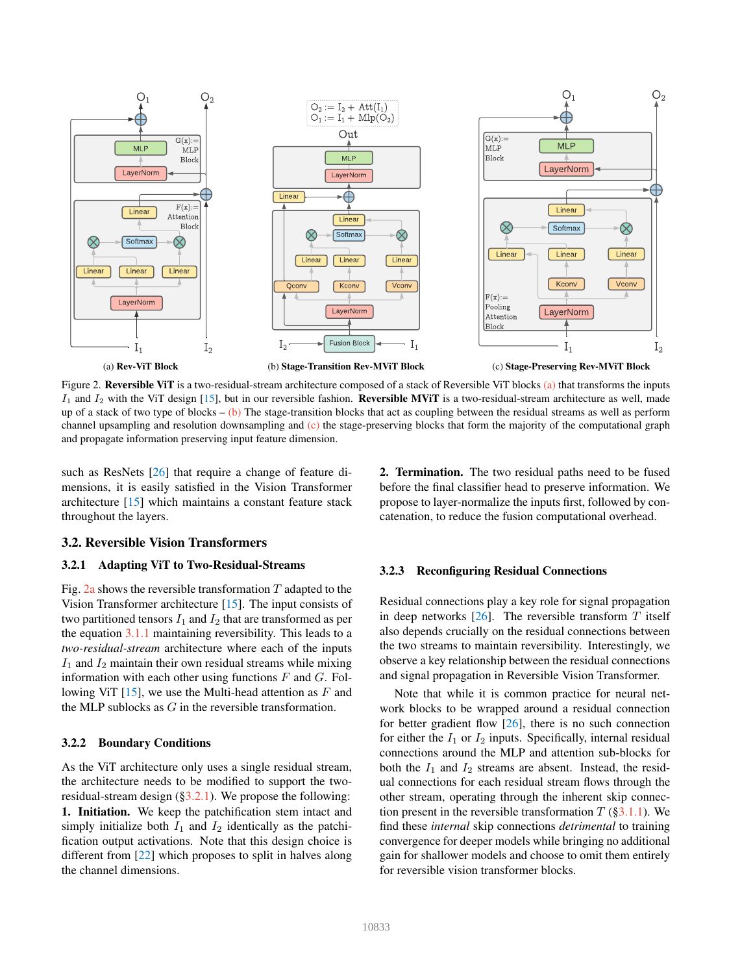<span id="page-3-5"></span><span id="page-3-2"></span>

Figure 2. Reversible ViT is a two-residual-stream architecture composed of a stack of Reversible ViT blocks [\(a\)](#page-3-2) that transforms the inputs  $I_1$  and  $I_2$  with the ViT design [\[15\]](#page-8-1), but in our reversible fashion. Reversible MViT is a two-residual-stream architecture as well, made up of a stack of two type of blocks – [\(b\)](#page-3-2) The stage-transition blocks that act as coupling between the residual streams as well as perform channel upsampling and resolution downsampling and  $(c)$  the stage-preserving blocks that form the majority of the computational graph and propagate information preserving input feature dimension.

such as ResNets [\[26\]](#page-8-15) that require a change of feature dimensions, it is easily satisfied in the Vision Transformer architecture [\[15\]](#page-8-1) which maintains a constant feature stack throughout the layers.

2. Termination. The two residual paths need to be fused before the final classifier head to preserve information. We propose to layer-normalize the inputs first, followed by concatenation, to reduce the fusion computational overhead.

# <span id="page-3-0"></span>3.2. Reversible Vision Transformers

# <span id="page-3-1"></span>3.2.1 Adapting ViT to Two-Residual-Streams

Fig. [2a](#page-3-2) shows the reversible transformation  $T$  adapted to the Vision Transformer architecture [\[15\]](#page-8-1). The input consists of two partitioned tensors  $I_1$  and  $I_2$  that are transformed as per the equation [3.1.1](#page-2-2) maintaining reversibility. This leads to a *two-residual-stream* architecture where each of the inputs  $I_1$  and  $I_2$  maintain their own residual streams while mixing information with each other using functions  $F$  and  $G$ . Following ViT  $[15]$ , we use the Multi-head attention as F and the MLP sublocks as G in the reversible transformation.

#### <span id="page-3-3"></span>3.2.2 Boundary Conditions

As the ViT architecture only uses a single residual stream, the architecture needs to be modified to support the tworesidual-stream design ([§3.2.1\)](#page-3-1). We propose the following: 1. Initiation. We keep the patchification stem intact and simply initialize both  $I_1$  and  $I_2$  identically as the patchification output activations. Note that this design choice is different from [\[22\]](#page-8-14) which proposes to split in halves along the channel dimensions.

## <span id="page-3-4"></span>3.2.3 Reconfiguring Residual Connections

Residual connections play a key role for signal propagation in deep networks  $[26]$ . The reversible transform T itself also depends crucially on the residual connections between the two streams to maintain reversibility. Interestingly, we observe a key relationship between the residual connections and signal propagation in Reversible Vision Transformer.

Note that while it is common practice for neural network blocks to be wrapped around a residual connection for better gradient flow [\[26\]](#page-8-15), there is no such connection for either the  $I_1$  or  $I_2$  inputs. Specifically, internal residual connections around the MLP and attention sub-blocks for both the  $I_1$  and  $I_2$  streams are absent. Instead, the residual connections for each residual stream flows through the other stream, operating through the inherent skip connection present in the reversible transformation  $T$  ([§3.1.1\)](#page-2-0). We find these *internal* skip connections *detrimental* to training convergence for deeper models while bringing no additional gain for shallower models and choose to omit them entirely for reversible vision transformer blocks.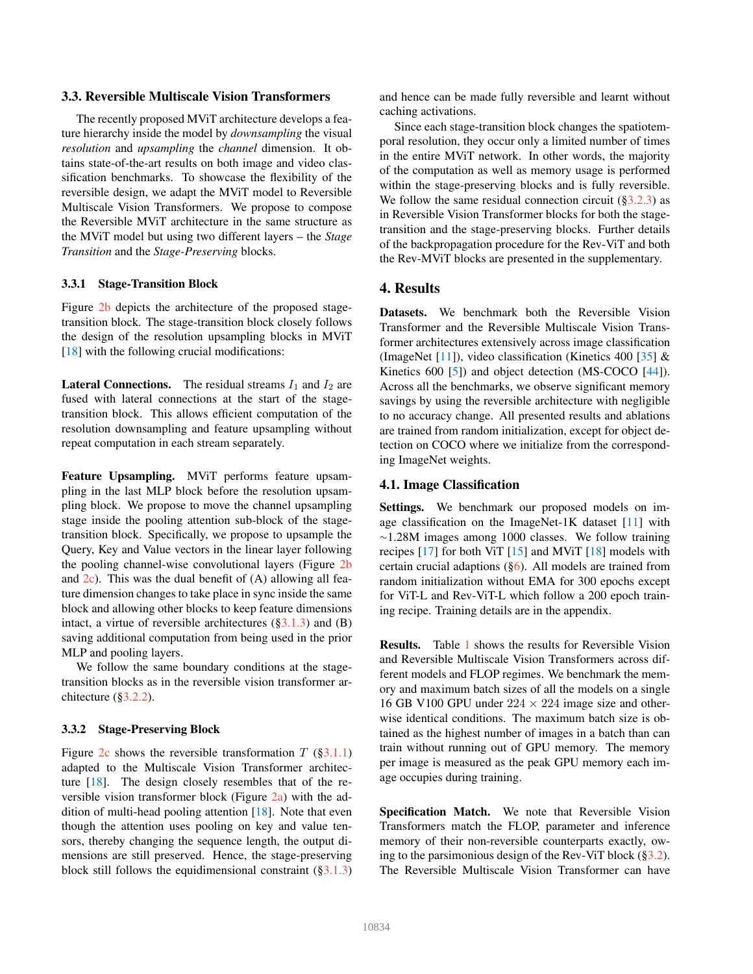# <span id="page-4-4"></span><span id="page-4-1"></span>3.3. Reversible Multiscale Vision Transformers

The recently proposed MViT architecture develops a feature hierarchy inside the model by *downsampling* the visual *resolution* and *upsampling* the *channel* dimension. It obtains state-of-the-art results on both image and video classification benchmarks. To showcase the flexibility of the reversible design, we adapt the MViT model to Reversible Multiscale Vision Transformers. We propose to compose the Reversible MViT architecture in the same structure as the MViT model but using two different layers – the *Stage Transition* and the *Stage-Preserving* blocks.

## <span id="page-4-3"></span>3.3.1 Stage-Transition Block

Figure [2b](#page-3-2) depicts the architecture of the proposed stagetransition block. The stage-transition block closely follows the design of the resolution upsampling blocks in MViT [\[18\]](#page-8-2) with the following crucial modifications:

**Lateral Connections.** The residual streams  $I_1$  and  $I_2$  are fused with lateral connections at the start of the stagetransition block. This allows efficient computation of the resolution downsampling and feature upsampling without repeat computation in each stream separately.

Feature Upsampling. MViT performs feature upsampling in the last MLP block before the resolution upsampling block. We propose to move the channel upsampling stage inside the pooling attention sub-block of the stagetransition block. Specifically, we propose to upsample the Query, Key and Value vectors in the linear layer following the pooling channel-wise convolutional layers (Figure [2b](#page-3-2) and  $2c$ ). This was the dual benefit of  $(A)$  allowing all feature dimension changes to take place in sync inside the same block and allowing other blocks to keep feature dimensions intact, a virtue of reversible architectures  $(\S3.1.3)$  and (B) saving additional computation from being used in the prior MLP and pooling layers.

We follow the same boundary conditions at the stagetransition blocks as in the reversible vision transformer architecture ([§3.2.2\)](#page-3-3).

#### <span id="page-4-2"></span>3.3.2 Stage-Preserving Block

Figure [2c](#page-3-2) shows the reversible transformation  $T$  ([§3.1.1\)](#page-2-0) adapted to the Multiscale Vision Transformer architecture [\[18\]](#page-8-2). The design closely resembles that of the reversible vision transformer block (Figure [2a\)](#page-3-2) with the addition of multi-head pooling attention [\[18\]](#page-8-2). Note that even though the attention uses pooling on key and value tensors, thereby changing the sequence length, the output dimensions are still preserved. Hence, the stage-preserving block still follows the equidimensional constraint  $(\S3.1.3)$ 

and hence can be made fully reversible and learnt without caching activations.

Since each stage-transition block changes the spatiotemporal resolution, they occur only a limited number of times in the entire MViT network. In other words, the majority of the computation as well as memory usage is performed within the stage-preserving blocks and is fully reversible. We follow the same residual connection circuit  $(\S3.2.3)$  as in Reversible Vision Transformer blocks for both the stagetransition and the stage-preserving blocks. Further details of the backpropagation procedure for the Rev-ViT and both the Rev-MViT blocks are presented in the supplementary.

#### 4. Results

Datasets. We benchmark both the Reversible Vision Transformer and the Reversible Multiscale Vision Transformer architectures extensively across image classification (ImageNet [\[11\]](#page-8-22)), video classification (Kinetics 400 [\[35\]](#page-9-26)  $\&$ Kinetics 600 [\[5\]](#page-8-23)) and object detection (MS-COCO [\[44\]](#page-9-27)). Across all the benchmarks, we observe significant memory savings by using the reversible architecture with negligible to no accuracy change. All presented results and ablations are trained from random initialization, except for object detection on COCO where we initialize from the corresponding ImageNet weights.

#### <span id="page-4-0"></span>4.1. Image Classification

Settings. We benchmark our proposed models on image classification on the ImageNet-1K dataset  $[11]$  with <sup>∼</sup>1.28M images among 1000 classes. We follow training recipes  $[17]$  for both ViT  $[15]$  and MViT  $[18]$  models with certain crucial adaptions ([§6\)](#page-6-0). All models are trained from random initialization without EMA for 300 epochs except for ViT-L and Rev-ViT-L which follow a 200 epoch training recipe. Training details are in the appendix.

Results. Table [1](#page-5-0) shows the results for Reversible Vision and Reversible Multiscale Vision Transformers across different models and FLOP regimes. We benchmark the memory and maximum batch sizes of all the models on a single 16 GB V100 GPU under  $224 \times 224$  image size and otherwise identical conditions. The maximum batch size is obtained as the highest number of images in a batch than can train without running out of GPU memory. The memory per image is measured as the peak GPU memory each image occupies during training.

Specification Match. We note that Reversible Vision Transformers match the FLOP, parameter and inference memory of their non-reversible counterparts exactly, owing to the parsimonious design of the Rev-ViT block  $(\S3.2)$ . The Reversible Multiscale Vision Transformer can have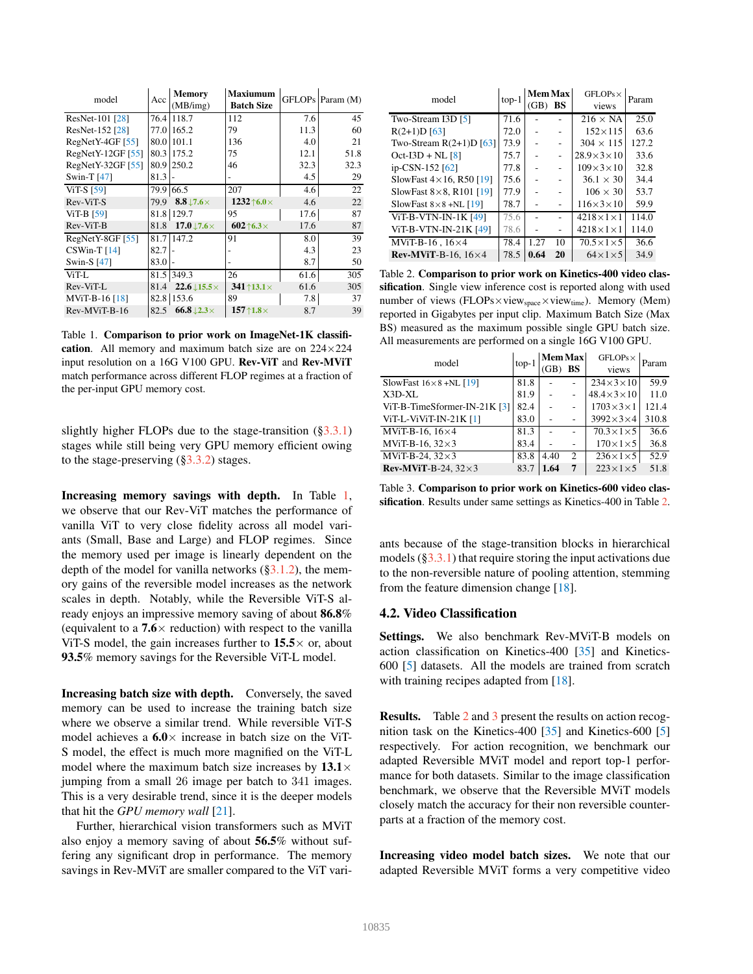<span id="page-5-3"></span><span id="page-5-0"></span>

| model              | Acc  | <b>Memory</b><br>(MB/img)     | <b>Maxiumum</b><br><b>Batch Size</b> |      | GFLOPs Param (M) |
|--------------------|------|-------------------------------|--------------------------------------|------|------------------|
| ResNet-101 [28]    | 76.4 | 118.7                         | 112                                  | 7.6  | 45               |
| ResNet-152 [28]    | 77.0 | 165.2                         | 79                                   | 11.3 | 60               |
| $RegNetY-4GF [55]$ | 80.0 | 101.1                         | 136                                  | 4.0  | 21               |
| RegNetY-12GF [55]  | 80.3 | 175.2                         | 75                                   | 12.1 | 51.8             |
| RegNetY-32GF [55]  | 80.9 | 250.2                         | 46                                   | 32.3 | 32.3             |
| Swin-T $[47]$      | 81.3 |                               |                                      | 4.5  | 29               |
| <b>ViT-S</b> [59]  | 79.9 | 66.5                          | 207                                  | 4.6  | 22               |
| Rev-ViT-S          | 79.9 | 8.8 $\downarrow$ 7.6 $\times$ | 1232 $\uparrow$ 6.0 $\times$         | 4.6  | 22               |
| ViT-B $[59]$       | 81.8 | 129.7                         | 95                                   | 17.6 | 87               |
| Rev-ViT-B          | 81.8 | $17.0\text{ }17.6\times$      | $602$ $\uparrow$ 6.3 $\times$        | 17.6 | 87               |
| RegNetY-8GF [55]   | 81.7 | 147.2                         | 91                                   | 8.0  | 39               |
| $CSWin-T[14]$      | 82.7 |                               |                                      | 4.3  | 23               |
| Swin-S [47]        | 83.0 |                               |                                      | 8.7  | 50               |
| ViT-L              | 81.5 | 349.3                         | 26                                   | 61.6 | 305              |
| Rev-ViT-L          | 81.4 | $22.6 \downarrow 15.5 \times$ | $341$ $13.1\times$                   | 61.6 | 305              |
| MViT-B-16 [18]     | 82.8 | 153.6                         | 89                                   | 7.8  | 37               |
| Rev-MViT-B-16      | 82.5 | $66.8\downarrow$ 2.3 $\times$ | $157$ $\uparrow$ 1.8 $\times$        | 8.7  | 39               |

Table 1. Comparison to prior work on ImageNet-1K classification. All memory and maximum batch size are on 224×224 input resolution on a 16G V100 GPU. Rev-ViT and Rev-MViT match performance across different FLOP regimes at a fraction of the per-input GPU memory cost.

slightly higher FLOPs due to the stage-transition ([§3.3.1\)](#page-4-3) stages while still being very GPU memory efficient owing to the stage-preserving ([§3.3.2\)](#page-4-2) stages.

Increasing memory savings with depth. In Table [1,](#page-5-0) we observe that our Rev-ViT matches the performance of vanilla ViT to very close fidelity across all model variants (Small, Base and Large) and FLOP regimes. Since the memory used per image is linearly dependent on the depth of the model for vanilla networks  $(\S3.1.2)$ , the memory gains of the reversible model increases as the network scales in depth. Notably, while the Reversible ViT-S already enjoys an impressive memory saving of about 86.8% (equivalent to a  $7.6 \times$  reduction) with respect to the vanilla ViT-S model, the gain increases further to  $15.5 \times$  or, about 93.5% memory savings for the Reversible ViT-L model.

Increasing batch size with depth. Conversely, the saved memory can be used to increase the training batch size where we observe a similar trend. While reversible ViT-S model achieves a  $6.0 \times$  increase in batch size on the ViT-S model, the effect is much more magnified on the ViT-L model where the maximum batch size increases by  $13.1\times$ jumping from a small 26 image per batch to 341 images. This is a very desirable trend, since it is the deeper models that hit the *GPU memory wall* [\[21\]](#page-8-0).

Further, hierarchical vision transformers such as MViT also enjoy a memory saving of about 56.5% without suffering any significant drop in performance. The memory savings in Rev-MViT are smaller compared to the ViT vari-

<span id="page-5-1"></span>

| model                             | $top-1$ | <b>Mem Max</b><br>(GB) | BS | $GFLOPs \times$<br>views | Param |
|-----------------------------------|---------|------------------------|----|--------------------------|-------|
| Two-Stream I3D [5]                | 71.6    |                        |    | $216 \times NA$          | 25.0  |
| $R(2+1)D$ [63]                    | 72.0    |                        |    | $152 \times 115$         | 63.6  |
| Two-Stream $R(2+1)D$ [63]         | 73.9    |                        |    | $304 \times 115$         | 127.2 |
| $Oct-I3D + NL [8]$                | 75.7    |                        |    | $28.9\times3\times10$    | 33.6  |
| ip-CSN-152 <sup>[62]</sup>        | 77.8    |                        |    | $109\times3\times10$     | 32.8  |
| SlowFast $4 \times 16$ , R50 [19] | 75.6    |                        |    | $36.1 \times 30$         | 34.4  |
| SlowFast $8\times 8$ , R101 [19]  | 77.9    |                        |    | $106 \times 30$          | 53.7  |
| SlowFast $8 \times 8 + NL$ [19]   | 78.7    |                        |    | $116\times3\times10$     | 59.9  |
| ViT-B-VTN-IN-1K $[49]$            | 75.6    |                        |    | $4218 \times 1 \times 1$ | 114.0 |
| ViT-B-VTN-IN-21K [49]             | 78.6    |                        |    | $4218\times1\times1$     | 114.0 |
| MViT-B-16, $16\times4$            | 78.4    | 1.27                   | 10 | $70.5\times1\times5$     | 36.6  |
| Rev-MViT-B-16, $16\times4$        | 78.5    | 0.64                   | 20 | $64\times1\times5$       | 34.9  |

Table 2. Comparison to prior work on Kinetics-400 video classification. Single view inference cost is reported along with used number of views (FLOPs×view<sub>space</sub>×view<sub>time</sub>). Memory (Mem) reported in Gigabytes per input clip. Maximum Batch Size (Max BS) measured as the maximum possible single GPU batch size. All measurements are performed on a single 16G V100 GPU.

<span id="page-5-2"></span>

| model                            | $top-1$ | <b>Mem Max</b> |                | $GFLOPs \times$       | Param |  |
|----------------------------------|---------|----------------|----------------|-----------------------|-------|--|
|                                  |         |                | BS             | views                 |       |  |
| SlowFast $16 \times 8 + NL$ [19] | 81.8    |                |                | $234\times3\times10$  | 59.9  |  |
| X3D-XL                           | 81.9    |                |                | $48.4\times3\times10$ | 11.0  |  |
| ViT-B-TimeSformer-IN-21K $[3]$   | 82.4    |                |                | $1703\times3\times1$  | 121.4 |  |
| ViT-L-ViViT-IN-21K [1]           | 83.0    |                |                | $3992\times3\times4$  | 310.8 |  |
| MViT-B-16, $16\times4$           | 81.3    |                |                | $70.3\times1\times5$  | 36.6  |  |
| MViT-B-16, $32\times3$           | 83.4    |                |                | $170\times1\times5$   | 36.8  |  |
| MViT-B-24, $32\times3$           | 83.8    | 4.40           | $\overline{2}$ | $236\times1\times5$   | 52.9  |  |
| Rev-MViT-B-24, $32\times3$       | 83.7    | 1.64           | 7              | $223\times1\times5$   | 51.8  |  |

Table 3. Comparison to prior work on Kinetics-600 video clas-sification. Results under same settings as Kinetics-400 in Table [2.](#page-5-1)

ants because of the stage-transition blocks in hierarchical models  $(\S3.3.1)$  that require storing the input activations due to the non-reversible nature of pooling attention, stemming from the feature dimension change [\[18\]](#page-8-2).

### 4.2. Video Classification

Settings. We also benchmark Rev-MViT-B models on action classification on Kinetics-400 [\[35\]](#page-9-26) and Kinetics-600 [\[5\]](#page-8-23) datasets. All the models are trained from scratch with training recipes adapted from [\[18\]](#page-8-2).

Results. Table [2](#page-5-1) and [3](#page-5-2) present the results on action recognition task on the Kinetics-400 [\[35\]](#page-9-26) and Kinetics-600 [\[5\]](#page-8-23) respectively. For action recognition, we benchmark our adapted Reversible MViT model and report top-1 performance for both datasets. Similar to the image classification benchmark, we observe that the Reversible MViT models closely match the accuracy for their non reversible counterparts at a fraction of the memory cost.

Increasing video model batch sizes. We note that our adapted Reversible MViT forms a very competitive video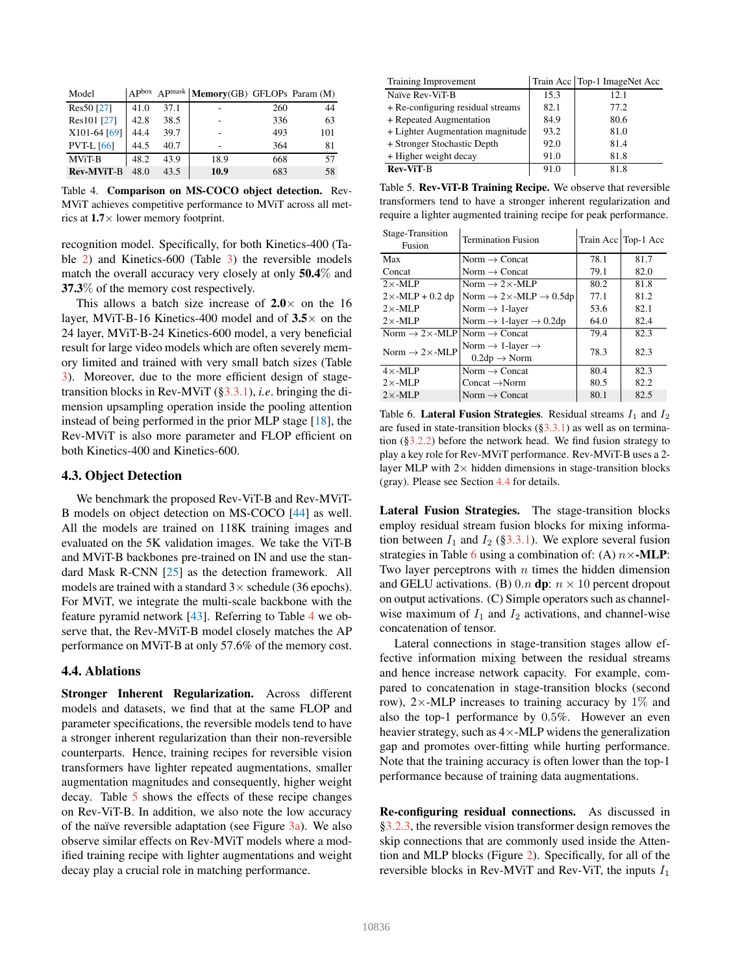<span id="page-6-4"></span><span id="page-6-1"></span>

| Model             | $A$ $P$ box |      | APmask   Memory(GB) GFLOPs Param (M) |     |     |
|-------------------|-------------|------|--------------------------------------|-----|-----|
| Res50 [27]        | 41.0        | 37.1 |                                      | 260 | 44  |
| Res101 [27]       | 42.8        | 38.5 |                                      | 336 | 63  |
| X101-64 [69]      | 44.4        | 39.7 |                                      | 493 | 101 |
| <b>PVT-L</b> [66] | 44.5        | 40.7 |                                      | 364 | 81  |
| <b>MViT-B</b>     | 48.2        | 43.9 | 18.9                                 | 668 | 57  |
| <b>Rev-MViT-B</b> | 48.0        | 43.5 | 10.9                                 | 683 | 58  |

Table 4. Comparison on MS-COCO object detection. Rev-MViT achieves competitive performance to MViT across all metrics at 1.7× lower memory footprint.

recognition model. Specifically, for both Kinetics-400 (Table [2\)](#page-5-1) and Kinetics-600 (Table [3\)](#page-5-2) the reversible models match the overall accuracy very closely at only 50.4% and 37.3% of the memory cost respectively.

This allows a batch size increase of  $2.0 \times$  on the 16 layer, MViT-B-16 Kinetics-400 model and of  $3.5\times$  on the 24 layer, MViT-B-24 Kinetics-600 model, a very beneficial result for large video models which are often severely memory limited and trained with very small batch sizes (Table [3\)](#page-5-2). Moreover, due to the more efficient design of stagetransition blocks in Rev-MViT ([§3.3.1\)](#page-4-3), *i.e*. bringing the dimension upsampling operation inside the pooling attention instead of being performed in the prior MLP stage [\[18\]](#page-8-2), the Rev-MViT is also more parameter and FLOP efficient on both Kinetics-400 and Kinetics-600.

## 4.3. Object Detection

We benchmark the proposed Rev-ViT-B and Rev-MViT-B models on object detection on MS-COCO [\[44\]](#page-9-27) as well. All the models are trained on 118K training images and evaluated on the 5K validation images. We take the ViT-B and MViT-B backbones pre-trained on IN and use the standard Mask R-CNN [\[25\]](#page-8-28) as the detection framework. All models are trained with a standard  $3\times$  schedule (36 epochs). For MViT, we integrate the multi-scale backbone with the feature pyramid network [\[43\]](#page-9-29). Referring to Table [4](#page-6-1) we observe that, the Rev-MViT-B model closely matches the AP performance on MViT-B at only 57.6% of the memory cost.

#### <span id="page-6-3"></span>4.4. Ablations

Stronger Inherent Regularization. Across different models and datasets, we find that at the same FLOP and parameter specifications, the reversible models tend to have a stronger inherent regularization than their non-reversible counterparts. Hence, training recipes for reversible vision transformers have lighter repeated augmentations, smaller augmentation magnitudes and consequently, higher weight decay. Table [5](#page-6-2) shows the effects of these recipe changes on Rev-ViT-B. In addition, we also note the low accuracy of the naïve reversible adaptation (see Figure  $3a$ ). We also observe similar effects on Rev-MViT models where a modified training recipe with lighter augmentations and weight decay play a crucial role in matching performance.

<span id="page-6-2"></span>

| Training Improvement              |      | Train Acc   Top-1 ImageNet Acc |  |
|-----------------------------------|------|--------------------------------|--|
| Naïve Rev-ViT-B                   | 15.3 | 12.1                           |  |
| + Re-configuring residual streams | 82.1 | 77.2                           |  |
| + Repeated Augmentation           | 84.9 | 80.6                           |  |
| + Lighter Augmentation magnitude  | 93.2 | 81.0                           |  |
| + Stronger Stochastic Depth       | 92.0 | 81.4                           |  |
| + Higher weight decay             | 91.0 | 81.8                           |  |
| <b>Rev-ViT-B</b>                  | 91.0 | 81.8                           |  |

Table 5. Rev-ViT-B Training Recipe. We observe that reversible transformers tend to have a stronger inherent regularization and require a lighter augmented training recipe for peak performance.

<span id="page-6-0"></span>

| Stage-Transition<br>Fusion                            | <b>Termination Fusion</b>                                                   |      | Train Acc   Top-1 Acc |
|-------------------------------------------------------|-----------------------------------------------------------------------------|------|-----------------------|
| Max                                                   | Norm $\rightarrow$ Concat                                                   | 78.1 | 81.7                  |
| Concat                                                | Norm $\rightarrow$ Concat                                                   | 79.1 | 82.0                  |
| $2\times$ -MLP                                        | Norm $\rightarrow$ 2 $\times$ -MLP                                          | 80.2 | 81.8                  |
| $2 \times -MLP + 0.2$ dp                              | Norm $\rightarrow$ 2×-MLP $\rightarrow$ 0.5dp                               | 77.1 | 81.2                  |
| $2 \times -MLP$                                       | Norm $\rightarrow$ 1-layer                                                  | 53.6 | 82.1                  |
| $2 \times -MLP$                                       | Norm $\rightarrow$ 1-layer $\rightarrow$ 0.2dp                              | 64.0 | 82.4                  |
| Norm $\rightarrow$ 2 × -MLP Norm $\rightarrow$ Concat |                                                                             | 79.4 | 82.3                  |
| Norm $\rightarrow$ 2 $\times$ -MLP                    | Norm $\rightarrow$ 1-layer $\rightarrow$<br>$0.2dp \rightarrow \text{Norm}$ | 78.3 | 82.3                  |
| $4 \times -MLP$                                       | Norm $\rightarrow$ Concat                                                   | 80.4 | 82.3                  |
| $2 \times -MLP$                                       | Concat $\rightarrow$ Norm                                                   | 80.5 | 82.2                  |
| $2 \times -MLP$                                       | Norm $\rightarrow$ Concat                                                   | 80.1 | 82.5                  |

Table 6. Lateral Fusion Strategies. Residual streams  $I_1$  and  $I_2$ are fused in state-transition blocks  $(\S3.3.1)$  as well as on termination ([§3.2.2\)](#page-3-3) before the network head. We find fusion strategy to play a key role for Rev-MViT performance. Rev-MViT-B uses a 2 layer MLP with  $2 \times$  hidden dimensions in stage-transition blocks (gray). Please see Section [4.4](#page-6-3) for details.

Lateral Fusion Strategies. The stage-transition blocks employ residual stream fusion blocks for mixing information between  $I_1$  and  $I_2$  ([§3.3.1\)](#page-4-3). We explore several fusion strategies in Table [6](#page-6-0) using a combination of: (A)  $n \times$ -MLP: Two layer perceptrons with  $n$  times the hidden dimension and GELU activations. (B) 0.n dp:  $n \times 10$  percent dropout on output activations. (C) Simple operators such as channelwise maximum of  $I_1$  and  $I_2$  activations, and channel-wise concatenation of tensor.

Lateral connections in stage-transition stages allow effective information mixing between the residual streams and hence increase network capacity. For example, compared to concatenation in stage-transition blocks (second row),  $2\times$ -MLP increases to training accuracy by 1% and also the top-1 performance by 0.5%. However an even heavier strategy, such as  $4 \times$ -MLP widens the generalization gap and promotes over-fitting while hurting performance. Note that the training accuracy is often lower than the top-1 performance because of training data augmentations.

Re-configuring residual connections. As discussed in [§3.2.3,](#page-3-4) the reversible vision transformer design removes the skip connections that are commonly used inside the Attention and MLP blocks (Figure [2\)](#page-3-2). Specifically, for all of the reversible blocks in Rev-MViT and Rev-ViT, the inputs  $I_1$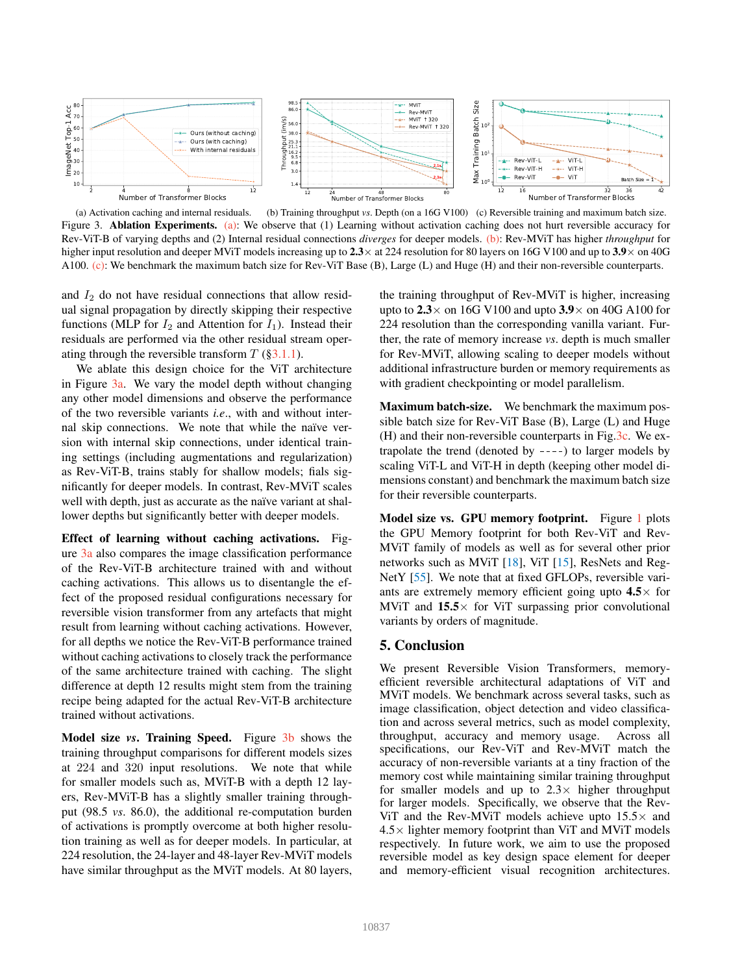<span id="page-7-1"></span><span id="page-7-0"></span>

(a) Activation caching and internal residuals. (b) Training throughput *vs*. Depth (on a 16G V100) (c) Reversible training and maximum batch size. Figure 3. **Ablation Experiments.** [\(a\):](#page-7-0) We observe that (1) Learning without activation caching does not hurt reversible accuracy for Rev-ViT-B of varying depths and (2) Internal residual connections *diverges* for deeper models. [\(b\):](#page-7-0) Rev-MViT has higher *throughput* for higher input resolution and deeper MViT models increasing up to  $2.3\times$  at 224 resolution for 80 layers on 16G V100 and up to  $3.9\times$  on 40G A100. [\(c\):](#page-7-0) We benchmark the maximum batch size for Rev-ViT Base (B), Large (L) and Huge (H) and their non-reversible counterparts.

and  $I_2$  do not have residual connections that allow residual signal propagation by directly skipping their respective functions (MLP for  $I_2$  and Attention for  $I_1$ ). Instead their residuals are performed via the other residual stream operating through the reversible transform  $T$  ([§3.1.1\)](#page-2-0).

We ablate this design choice for the ViT architecture in Figure [3a.](#page-7-0) We vary the model depth without changing any other model dimensions and observe the performance of the two reversible variants *i.e*., with and without internal skip connections. We note that while the naïve version with internal skip connections, under identical training settings (including augmentations and regularization) as Rev-ViT-B, trains stably for shallow models; fials significantly for deeper models. In contrast, Rev-MViT scales well with depth, just as accurate as the naïve variant at shallower depths but significantly better with deeper models.

Effect of learning without caching activations. Figure [3a](#page-7-0) also compares the image classification performance of the Rev-ViT-B architecture trained with and without caching activations. This allows us to disentangle the effect of the proposed residual configurations necessary for reversible vision transformer from any artefacts that might result from learning without caching activations. However, for all depths we notice the Rev-ViT-B performance trained without caching activations to closely track the performance of the same architecture trained with caching. The slight difference at depth 12 results might stem from the training recipe being adapted for the actual Rev-ViT-B architecture trained without activations.

Model size *vs*. Training Speed. Figure [3b](#page-7-0) shows the training throughput comparisons for different models sizes at 224 and 320 input resolutions. We note that while for smaller models such as, MViT-B with a depth 12 layers, Rev-MViT-B has a slightly smaller training throughput (98.5 *vs*. 86.0), the additional re-computation burden of activations is promptly overcome at both higher resolution training as well as for deeper models. In particular, at 224 resolution, the 24-layer and 48-layer Rev-MViT models have similar throughput as the MViT models. At 80 layers,

the training throughput of Rev-MViT is higher, increasing upto to  $2.3 \times$  on 16G V100 and upto  $3.9 \times$  on 40G A100 for 224 resolution than the corresponding vanilla variant. Further, the rate of memory increase *vs*. depth is much smaller for Rev-MViT, allowing scaling to deeper models without additional infrastructure burden or memory requirements as with gradient checkpointing or model parallelism.

Maximum batch-size. We benchmark the maximum possible batch size for Rev-ViT Base (B), Large (L) and Huge (H) and their non-reversible counterparts in Fig[.3c.](#page-7-0) We extrapolate the trend (denoted by  $---$ ) to larger models by scaling ViT-L and ViT-H in depth (keeping other model dimensions constant) and benchmark the maximum batch size for their reversible counterparts.

Model size vs. GPU memory footprint. Figure [1](#page-0-0) plots the GPU Memory footprint for both Rev-ViT and Rev-MViT family of models as well as for several other prior networks such as MViT [\[18\]](#page-8-2), ViT [\[15\]](#page-8-1), ResNets and Reg-NetY [\[55\]](#page-9-2). We note that at fixed GFLOPs, reversible variants are extremely memory efficient going upto  $4.5 \times$  for MViT and  $15.5\times$  for ViT surpassing prior convolutional variants by orders of magnitude.

# 5. Conclusion

We present Reversible Vision Transformers, memoryefficient reversible architectural adaptations of ViT and MViT models. We benchmark across several tasks, such as image classification, object detection and video classification and across several metrics, such as model complexity, throughput, accuracy and memory usage. Across all specifications, our Rev-ViT and Rev-MViT match the accuracy of non-reversible variants at a tiny fraction of the memory cost while maintaining similar training throughput for smaller models and up to  $2.3\times$  higher throughput for larger models. Specifically, we observe that the Rev-ViT and the Rev-MViT models achieve upto  $15.5\times$  and  $4.5\times$  lighter memory footprint than ViT and MViT models respectively. In future work, we aim to use the proposed reversible model as key design space element for deeper and memory-efficient visual recognition architectures.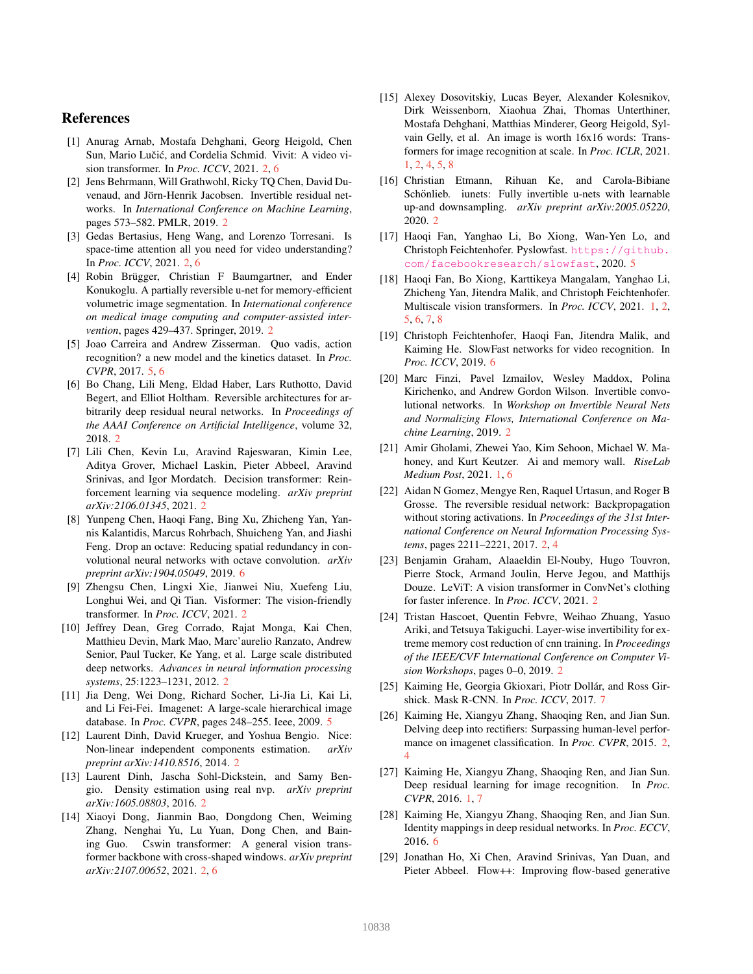# References

- <span id="page-8-8"></span>[1] Anurag Arnab, Mostafa Dehghani, Georg Heigold, Chen Sun, Mario Lučić, and Cordelia Schmid. Vivit: A video vision transformer. In *Proc. ICCV*, 2021. [2,](#page-1-0) [6](#page-5-3)
- <span id="page-8-19"></span>[2] Jens Behrmann, Will Grathwohl, Ricky TO Chen, David Duvenaud, and Jörn-Henrik Jacobsen. Invertible residual networks. In *International Conference on Machine Learning*, pages 573–582. PMLR, 2019. [2](#page-1-0)
- <span id="page-8-9"></span>[3] Gedas Bertasius, Heng Wang, and Lorenzo Torresani. Is space-time attention all you need for video understanding? In *Proc. ICCV*, 2021. [2,](#page-1-0) [6](#page-5-3)
- <span id="page-8-20"></span>[4] Robin Brügger, Christian F Baumgartner, and Ender Konukoglu. A partially reversible u-net for memory-efficient volumetric image segmentation. In *International conference on medical image computing and computer-assisted intervention*, pages 429–437. Springer, 2019. [2](#page-1-0)
- <span id="page-8-23"></span>[5] Joao Carreira and Andrew Zisserman. Quo vadis, action recognition? a new model and the kinetics dataset. In *Proc. CVPR*, 2017. [5,](#page-4-4) [6](#page-5-3)
- <span id="page-8-16"></span>[6] Bo Chang, Lili Meng, Eldad Haber, Lars Ruthotto, David Begert, and Elliot Holtham. Reversible architectures for arbitrarily deep residual neural networks. In *Proceedings of the AAAI Conference on Artificial Intelligence*, volume 32, 2018. [2](#page-1-0)
- <span id="page-8-4"></span>[7] Lili Chen, Kevin Lu, Aravind Rajeswaran, Kimin Lee, Aditya Grover, Michael Laskin, Pieter Abbeel, Aravind Srinivas, and Igor Mordatch. Decision transformer: Reinforcement learning via sequence modeling. *arXiv preprint arXiv:2106.01345*, 2021. [2](#page-1-0)
- <span id="page-8-26"></span>[8] Yunpeng Chen, Haoqi Fang, Bing Xu, Zhicheng Yan, Yannis Kalantidis, Marcus Rohrbach, Shuicheng Yan, and Jiashi Feng. Drop an octave: Reducing spatial redundancy in convolutional neural networks with octave convolution. *arXiv preprint arXiv:1904.05049*, 2019. [6](#page-5-3)
- <span id="page-8-6"></span>[9] Zhengsu Chen, Lingxi Xie, Jianwei Niu, Xuefeng Liu, Longhui Wei, and Qi Tian. Visformer: The vision-friendly transformer. In *Proc. ICCV*, 2021. [2](#page-1-0)
- <span id="page-8-10"></span>[10] Jeffrey Dean, Greg Corrado, Rajat Monga, Kai Chen, Matthieu Devin, Mark Mao, Marc'aurelio Ranzato, Andrew Senior, Paul Tucker, Ke Yang, et al. Large scale distributed deep networks. *Advances in neural information processing systems*, 25:1223–1231, 2012. [2](#page-1-0)
- <span id="page-8-22"></span>[11] Jia Deng, Wei Dong, Richard Socher, Li-Jia Li, Kai Li, and Li Fei-Fei. Imagenet: A large-scale hierarchical image database. In *Proc. CVPR*, pages 248–255. Ieee, 2009. [5](#page-4-4)
- <span id="page-8-11"></span>[12] Laurent Dinh, David Krueger, and Yoshua Bengio. Nice: Non-linear independent components estimation. *arXiv preprint arXiv:1410.8516*, 2014. [2](#page-1-0)
- <span id="page-8-12"></span>[13] Laurent Dinh, Jascha Sohl-Dickstein, and Samy Bengio. Density estimation using real nvp. *arXiv preprint arXiv:1605.08803*, 2016. [2](#page-1-0)
- <span id="page-8-7"></span>[14] Xiaoyi Dong, Jianmin Bao, Dongdong Chen, Weiming Zhang, Nenghai Yu, Lu Yuan, Dong Chen, and Baining Guo. Cswin transformer: A general vision transformer backbone with cross-shaped windows. *arXiv preprint arXiv:2107.00652*, 2021. [2,](#page-1-0) [6](#page-5-3)
- <span id="page-8-1"></span>[15] Alexey Dosovitskiy, Lucas Beyer, Alexander Kolesnikov, Dirk Weissenborn, Xiaohua Zhai, Thomas Unterthiner, Mostafa Dehghani, Matthias Minderer, Georg Heigold, Sylvain Gelly, et al. An image is worth 16x16 words: Transformers for image recognition at scale. In *Proc. ICLR*, 2021. [1,](#page-0-1) [2,](#page-1-0) [4,](#page-3-5) [5,](#page-4-4) [8](#page-7-1)
- <span id="page-8-21"></span>[16] Christian Etmann, Rihuan Ke, and Carola-Bibiane Schönlieb. iunets: Fully invertible u-nets with learnable up-and downsampling. *arXiv preprint arXiv:2005.05220*, 2020. [2](#page-1-0)
- <span id="page-8-24"></span>[17] Haoqi Fan, Yanghao Li, Bo Xiong, Wan-Yen Lo, and Christoph Feichtenhofer. Pyslowfast. [https://github.](https://github.com/facebookresearch/slowfast) [com/facebookresearch/slowfast](https://github.com/facebookresearch/slowfast), 2020. [5](#page-4-4)
- <span id="page-8-2"></span>[18] Haoqi Fan, Bo Xiong, Karttikeya Mangalam, Yanghao Li, Zhicheng Yan, Jitendra Malik, and Christoph Feichtenhofer. Multiscale vision transformers. In *Proc. ICCV*, 2021. [1,](#page-0-1) [2,](#page-1-0) [5,](#page-4-4) [6,](#page-5-3) [7,](#page-6-4) [8](#page-7-1)
- <span id="page-8-27"></span>[19] Christoph Feichtenhofer, Haoqi Fan, Jitendra Malik, and Kaiming He. SlowFast networks for video recognition. In *Proc. ICCV*, 2019. [6](#page-5-3)
- <span id="page-8-18"></span>[20] Marc Finzi, Pavel Izmailov, Wesley Maddox, Polina Kirichenko, and Andrew Gordon Wilson. Invertible convolutional networks. In *Workshop on Invertible Neural Nets and Normalizing Flows, International Conference on Machine Learning*, 2019. [2](#page-1-0)
- <span id="page-8-0"></span>[21] Amir Gholami, Zhewei Yao, Kim Sehoon, Michael W. Mahoney, and Kurt Keutzer. Ai and memory wall. *RiseLab Medium Post*, 2021. [1,](#page-0-1) [6](#page-5-3)
- <span id="page-8-14"></span>[22] Aidan N Gomez, Mengye Ren, Raquel Urtasun, and Roger B Grosse. The reversible residual network: Backpropagation without storing activations. In *Proceedings of the 31st International Conference on Neural Information Processing Systems*, pages 2211–2221, 2017. [2,](#page-1-0) [4](#page-3-5)
- <span id="page-8-5"></span>[23] Benjamin Graham, Alaaeldin El-Nouby, Hugo Touvron, Pierre Stock, Armand Joulin, Herve Jegou, and Matthijs Douze. LeViT: A vision transformer in ConvNet's clothing for faster inference. In *Proc. ICCV*, 2021. [2](#page-1-0)
- <span id="page-8-17"></span>[24] Tristan Hascoet, Quentin Febvre, Weihao Zhuang, Yasuo Ariki, and Tetsuya Takiguchi. Layer-wise invertibility for extreme memory cost reduction of cnn training. In *Proceedings of the IEEE/CVF International Conference on Computer Vision Workshops*, pages 0–0, 2019. [2](#page-1-0)
- <span id="page-8-28"></span>[25] Kaiming He, Georgia Gkioxari, Piotr Dollár, and Ross Girshick. Mask R-CNN. In *Proc. ICCV*, 2017. [7](#page-6-4)
- <span id="page-8-15"></span>[26] Kaiming He, Xiangyu Zhang, Shaoqing Ren, and Jian Sun. Delving deep into rectifiers: Surpassing human-level performance on imagenet classification. In *Proc. CVPR*, 2015. [2,](#page-1-0) [4](#page-3-5)
- <span id="page-8-3"></span>[27] Kaiming He, Xiangyu Zhang, Shaoqing Ren, and Jian Sun. Deep residual learning for image recognition. In *Proc. CVPR*, 2016. [1,](#page-0-1) [7](#page-6-4)
- <span id="page-8-25"></span>[28] Kaiming He, Xiangyu Zhang, Shaoqing Ren, and Jian Sun. Identity mappings in deep residual networks. In *Proc. ECCV*, 2016. [6](#page-5-3)
- <span id="page-8-13"></span>[29] Jonathan Ho, Xi Chen, Aravind Srinivas, Yan Duan, and Pieter Abbeel. Flow++: Improving flow-based generative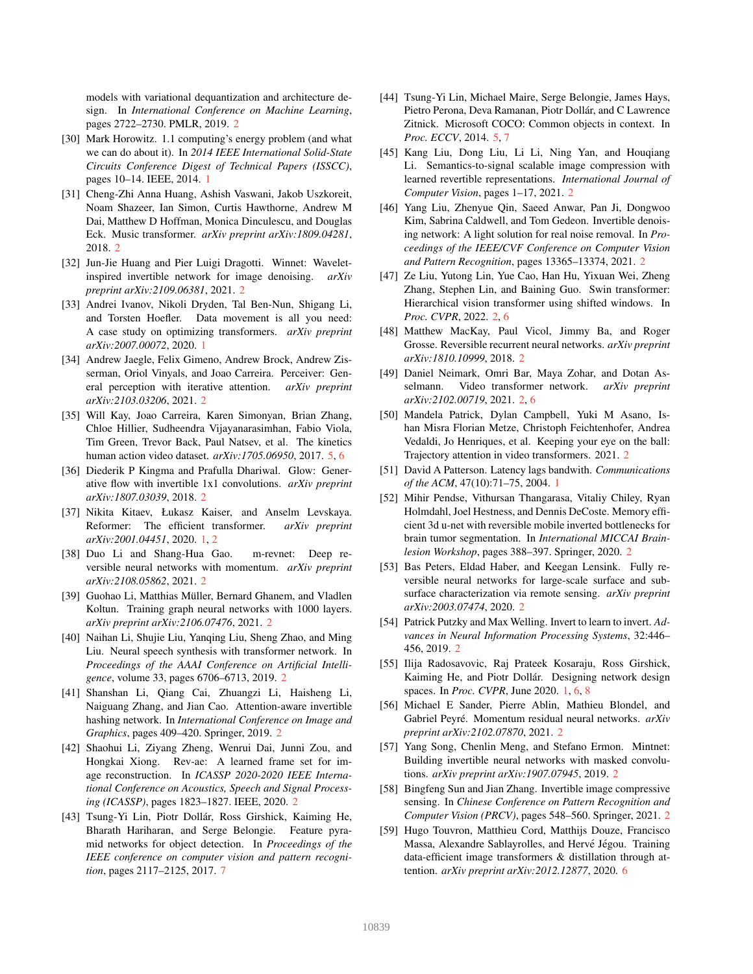models with variational dequantization and architecture design. In *International Conference on Machine Learning*, pages 2722–2730. PMLR, 2019. [2](#page-1-0)

- <span id="page-9-3"></span>[30] Mark Horowitz. 1.1 computing's energy problem (and what we can do about it). In *2014 IEEE International Solid-State Circuits Conference Digest of Technical Papers (ISSCC)*, pages 10–14. IEEE, 2014. [1](#page-0-1)
- <span id="page-9-6"></span>[31] Cheng-Zhi Anna Huang, Ashish Vaswani, Jakob Uszkoreit, Noam Shazeer, Ian Simon, Curtis Hawthorne, Andrew M Dai, Matthew D Hoffman, Monica Dinculescu, and Douglas Eck. Music transformer. *arXiv preprint arXiv:1809.04281*, 2018. [2](#page-1-0)
- <span id="page-9-18"></span>[32] Jun-Jie Huang and Pier Luigi Dragotti. Winnet: Waveletinspired invertible network for image denoising. *arXiv preprint arXiv:2109.06381*, 2021. [2](#page-1-0)
- <span id="page-9-1"></span>[33] Andrei Ivanov, Nikoli Dryden, Tal Ben-Nun, Shigang Li, and Torsten Hoefler. Data movement is all you need: A case study on optimizing transformers. *arXiv preprint arXiv:2007.00072*, 2020. [1](#page-0-1)
- <span id="page-9-7"></span>[34] Andrew Jaegle, Felix Gimeno, Andrew Brock, Andrew Zisserman, Oriol Vinyals, and Joao Carreira. Perceiver: General perception with iterative attention. *arXiv preprint arXiv:2103.03206*, 2021. [2](#page-1-0)
- <span id="page-9-26"></span>[35] Will Kay, Joao Carreira, Karen Simonyan, Brian Zhang, Chloe Hillier, Sudheendra Vijayanarasimhan, Fabio Viola, Tim Green, Trevor Back, Paul Natsev, et al. The kinetics human action video dataset. *arXiv:1705.06950*, 2017. [5,](#page-4-4) [6](#page-5-3)
- <span id="page-9-11"></span>[36] Diederik P Kingma and Prafulla Dhariwal. Glow: Generative flow with invertible 1x1 convolutions. *arXiv preprint arXiv:1807.03039*, 2018. [2](#page-1-0)
- <span id="page-9-4"></span>[37] Nikita Kitaev, Łukasz Kaiser, and Anselm Levskaya. Reformer: The efficient transformer. *arXiv preprint arXiv:2001.04451*, 2020. [1,](#page-0-1) [2](#page-1-0)
- <span id="page-9-12"></span>[38] Duo Li and Shang-Hua Gao. m-revnet: Deep reversible neural networks with momentum. *arXiv preprint arXiv:2108.05862*, 2021. [2](#page-1-0)
- <span id="page-9-25"></span>[39] Guohao Li, Matthias Müller, Bernard Ghanem, and Vladlen Koltun. Training graph neural networks with 1000 layers. *arXiv preprint arXiv:2106.07476*, 2021. [2](#page-1-0)
- <span id="page-9-5"></span>[40] Naihan Li, Shujie Liu, Yanqing Liu, Sheng Zhao, and Ming Liu. Neural speech synthesis with transformer network. In *Proceedings of the AAAI Conference on Artificial Intelligence*, volume 33, pages 6706–6713, 2019. [2](#page-1-0)
- <span id="page-9-17"></span>[41] Shanshan Li, Qiang Cai, Zhuangzi Li, Haisheng Li, Naiguang Zhang, and Jian Cao. Attention-aware invertible hashing network. In *International Conference on Image and Graphics*, pages 409–420. Springer, 2019. [2](#page-1-0)
- <span id="page-9-16"></span>[42] Shaohui Li, Ziyang Zheng, Wenrui Dai, Junni Zou, and Hongkai Xiong. Rev-ae: A learned frame set for image reconstruction. In *ICASSP 2020-2020 IEEE International Conference on Acoustics, Speech and Signal Processing (ICASSP)*, pages 1823–1827. IEEE, 2020. [2](#page-1-0)
- <span id="page-9-29"></span>[43] Tsung-Yi Lin, Piotr Dollár, Ross Girshick, Kaiming He, Bharath Hariharan, and Serge Belongie. Feature pyramid networks for object detection. In *Proceedings of the IEEE conference on computer vision and pattern recognition*, pages 2117–2125, 2017. [7](#page-6-4)
- <span id="page-9-27"></span>[44] Tsung-Yi Lin, Michael Maire, Serge Belongie, James Hays, Pietro Perona, Deva Ramanan, Piotr Dollár, and C Lawrence Zitnick. Microsoft COCO: Common objects in context. In *Proc. ECCV*, 2014. [5,](#page-4-4) [7](#page-6-4)
- <span id="page-9-15"></span>[45] Kang Liu, Dong Liu, Li Li, Ning Yan, and Houqiang Li. Semantics-to-signal scalable image compression with learned revertible representations. *International Journal of Computer Vision*, pages 1–17, 2021. [2](#page-1-0)
- <span id="page-9-19"></span>[46] Yang Liu, Zhenyue Qin, Saeed Anwar, Pan Ji, Dongwoo Kim, Sabrina Caldwell, and Tom Gedeon. Invertible denoising network: A light solution for real noise removal. In *Proceedings of the IEEE/CVF Conference on Computer Vision and Pattern Recognition*, pages 13365–13374, 2021. [2](#page-1-0)
- <span id="page-9-8"></span>[47] Ze Liu, Yutong Lin, Yue Cao, Han Hu, Yixuan Wei, Zheng Zhang, Stephen Lin, and Baining Guo. Swin transformer: Hierarchical vision transformer using shifted windows. In *Proc. CVPR*, 2022. [2,](#page-1-0) [6](#page-5-3)
- <span id="page-9-24"></span>[48] Matthew MacKay, Paul Vicol, Jimmy Ba, and Roger Grosse. Reversible recurrent neural networks. *arXiv preprint arXiv:1810.10999*, 2018. [2](#page-1-0)
- <span id="page-9-9"></span>[49] Daniel Neimark, Omri Bar, Maya Zohar, and Dotan Asselmann. Video transformer network. *arXiv preprint arXiv:2102.00719*, 2021. [2,](#page-1-0) [6](#page-5-3)
- <span id="page-9-10"></span>[50] Mandela Patrick, Dylan Campbell, Yuki M Asano, Ishan Misra Florian Metze, Christoph Feichtenhofer, Andrea Vedaldi, Jo Henriques, et al. Keeping your eye on the ball: Trajectory attention in video transformers. 2021. [2](#page-1-0)
- <span id="page-9-0"></span>[51] David A Patterson. Latency lags bandwith. *Communications of the ACM*, 47(10):71–75, 2004. [1](#page-0-1)
- <span id="page-9-22"></span>[52] Mihir Pendse, Vithursan Thangarasa, Vitaliy Chiley, Ryan Holmdahl, Joel Hestness, and Dennis DeCoste. Memory efficient 3d u-net with reversible mobile inverted bottlenecks for brain tumor segmentation. In *International MICCAI Brainlesion Workshop*, pages 388–397. Springer, 2020. [2](#page-1-0)
- <span id="page-9-21"></span>[53] Bas Peters, Eldad Haber, and Keegan Lensink. Fully reversible neural networks for large-scale surface and subsurface characterization via remote sensing. *arXiv preprint arXiv:2003.07474*, 2020. [2](#page-1-0)
- <span id="page-9-23"></span>[54] Patrick Putzky and Max Welling. Invert to learn to invert. *Advances in Neural Information Processing Systems*, 32:446– 456, 2019. [2](#page-1-0)
- <span id="page-9-2"></span>[55] Ilija Radosavovic, Raj Prateek Kosaraju, Ross Girshick, Kaiming He, and Piotr Dollár. Designing network design spaces. In *Proc. CVPR*, June 2020. [1,](#page-0-1) [6,](#page-5-3) [8](#page-7-1)
- <span id="page-9-13"></span>[56] Michael E Sander, Pierre Ablin, Mathieu Blondel, and Gabriel Peyré. Momentum residual neural networks. arXiv *preprint arXiv:2102.07870*, 2021. [2](#page-1-0)
- <span id="page-9-14"></span>[57] Yang Song, Chenlin Meng, and Stefano Ermon. Mintnet: Building invertible neural networks with masked convolutions. *arXiv preprint arXiv:1907.07945*, 2019. [2](#page-1-0)
- <span id="page-9-20"></span>[58] Bingfeng Sun and Jian Zhang. Invertible image compressive sensing. In *Chinese Conference on Pattern Recognition and Computer Vision (PRCV)*, pages 548–560. Springer, 2021. [2](#page-1-0)
- <span id="page-9-28"></span>[59] Hugo Touvron, Matthieu Cord, Matthijs Douze, Francisco Massa, Alexandre Sablayrolles, and Hervé Jégou. Training data-efficient image transformers & distillation through attention. *arXiv preprint arXiv:2012.12877*, 2020. [6](#page-5-3)